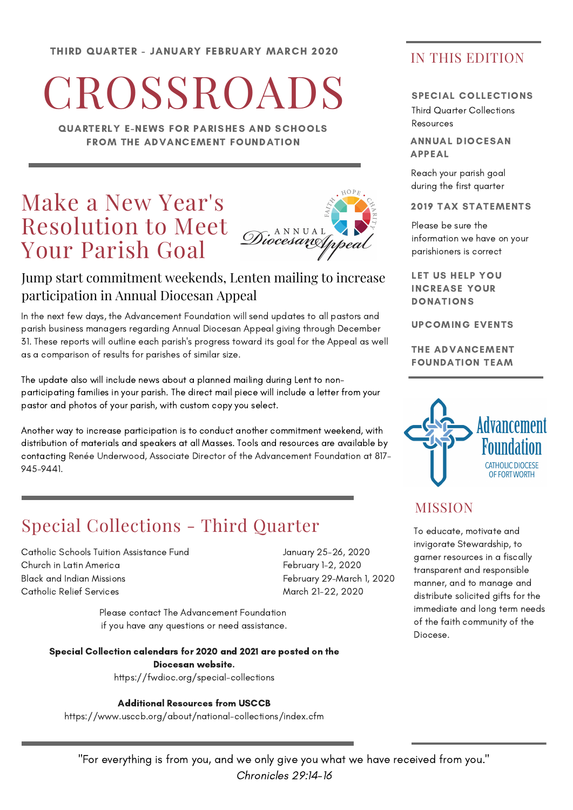# **CROSSROADS**

QUARTERLY E-NEWS FOR PARISHES AND SCHOOLS FROM THE ADVANCEMENT FOUNDATION

# Make a New Year's Resolution to Meet Your Parish Goal



## Jump start commitment weekends, Lenten mailing to increase participation in Annual Diocesan Appeal

In the next few days, the Advancement Foundation will send updates to all pastors and parish business managers regarding Annual Diocesan Appeal giving through December 31. These reports will outline each parish's progress toward its goal for the Appeal as well as a comparison of results for parishes of similar size.

The update also will include news about a planned mailing during Lent to nonparticipating families in your parish. The direct mail piece will include a letter from your pastor and photos of your parish, with custom copy you select.

Another way to increase participation is to conduct another commitment weekend, with distribution of materials and speakers at all Masses. Tools and resources are available by contacting Renée Underwood, Associate Director of the Advancement Foundation at 817- 945-9441.

## Special Collections - Third Quarter

Catholic Schools Tuition Assistance Fund Church in Latin America Black and Indian Missions Catholic Relief Services

January 25-26, 2020 February 1-2, 2020 February 29-March 1, 2020 March 21-22, 2020

Please contact The Advancement Foundation if you have any questions or need assistance.

## Special Collection calendars for 2020 and 2021 are posted on the Diocesan website.

https://fwdioc.org/special-collections

Additional Resources from USCCB

https://www.usccb.org/about/national-collections/index.cfm

## IN THIS EDITION

#### SPECIAL COLLECTIONS

Third Quarter Collections Resources

ANNUAL DIOCESAN APPEAL

Reach your parish goal during the first quarter

#### 2019 TAX STATEMENTS

Please be sure the information we have on your parishioners is correct

LET US HELP YOU INCREASE YOUR DONATIONS

UPCOMING EVENTS

THE ADVANCEMENT FOUNDATION TEAM



## MISSION

To educate, motivate and invigorate Stewardship, to garner resources in a fiscally transparent and responsible manner, and to manage and distribute solicited gifts for the immediate and long term needs of the faith community of the Diocese.

"For everything is from you, and we only give you what we have received from you." Chronicles 29:14-16